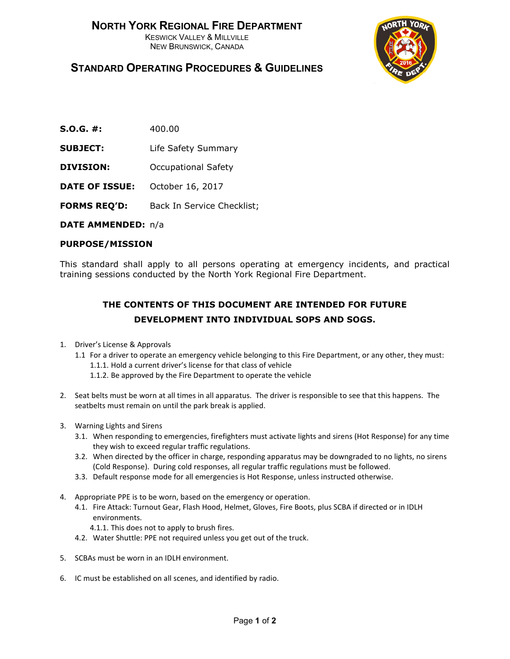

## **STANDARD OPERATING PROCEDURES & GUIDELINES**

- **S.O.G. #:** 400.00
- **SUBJECT:** Life Safety Summary
- **DIVISION:** Occupational Safety
- **DATE OF ISSUE:** October 16, 2017
- **FORMS REQ'D:** Back In Service Checklist;

**DATE AMMENDED:** n/a

## **PURPOSE/MISSION**

This standard shall apply to all persons operating at emergency incidents, and practical training sessions conducted by the North York Regional Fire Department.

## **THE CONTENTS OF THIS DOCUMENT ARE INTENDED FOR FUTURE DEVELOPMENT INTO INDIVIDUAL SOPS AND SOGS.**

- 1. Driver's License & Approvals
	- 1.1 For a driver to operate an emergency vehicle belonging to this Fire Department, or any other, they must: 1.1.1. Hold a current driver's license for that class of vehicle
		- 1.1.2. Be approved by the Fire Department to operate the vehicle
- 2. Seat belts must be worn at all times in all apparatus. The driver is responsible to see that this happens. The seatbelts must remain on until the park break is applied.
- 3. Warning Lights and Sirens
	- 3.1. When responding to emergencies, firefighters must activate lights and sirens (Hot Response) for any time they wish to exceed regular traffic regulations.
	- 3.2. When directed by the officer in charge, responding apparatus may be downgraded to no lights, no sirens (Cold Response). During cold responses, all regular traffic regulations must be followed.
	- 3.3. Default response mode for all emergencies is Hot Response, unless instructed otherwise.
- 4. Appropriate PPE is to be worn, based on the emergency or operation.
	- 4.1. Fire Attack: Turnout Gear, Flash Hood, Helmet, Gloves, Fire Boots, plus SCBA if directed or in IDLH environments.
		- 4.1.1. This does not to apply to brush fires.
	- 4.2. Water Shuttle: PPE not required unless you get out of the truck.
- 5. SCBAs must be worn in an IDLH environment.
- 6. IC must be established on all scenes, and identified by radio.